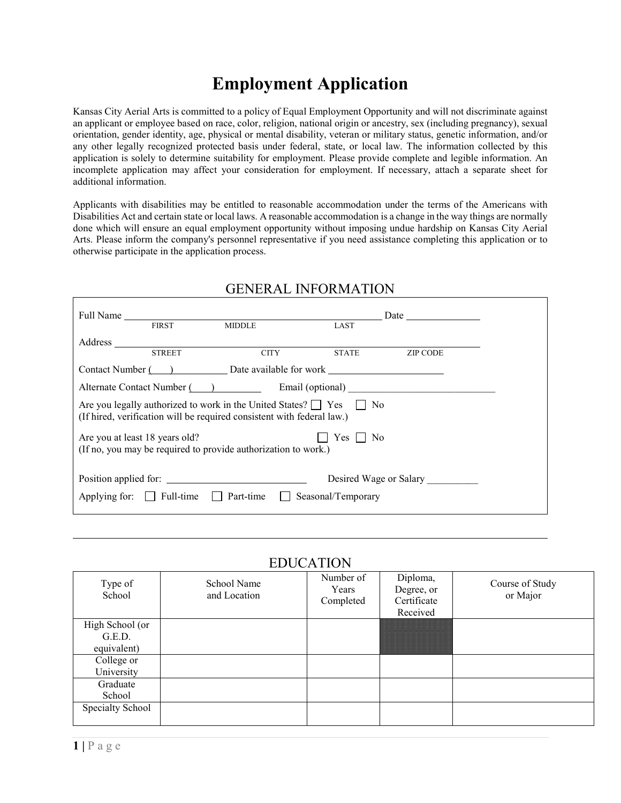# **Employment Application**

Kansas City Aerial Arts is committed to a policy of Equal Employment Opportunity and will not discriminate against an applicant or employee based on race, color, religion, national origin or ancestry, sex (including pregnancy), sexual orientation, gender identity, age, physical or mental disability, veteran or military status, genetic information, and/or any other legally recognized protected basis under federal, state, or local law. The information collected by this application is solely to determine suitability for employment. Please provide complete and legible information. An incomplete application may affect your consideration for employment. If necessary, attach a separate sheet for additional information.

Applicants with disabilities may be entitled to reasonable accommodation under the terms of the Americans with Disabilities Act and certain state or local laws. A reasonable accommodation is a change in the way things are normally done which will ensure an equal employment opportunity without imposing undue hardship on Kansas City Aerial Arts. Please inform the company's personnel representative if you need assistance completing this application or to otherwise participate in the application process.

|                                 |                                                                        |                                                                               | Date $\qquad \qquad$   |
|---------------------------------|------------------------------------------------------------------------|-------------------------------------------------------------------------------|------------------------|
| <b>FIRST</b><br>Address         | <b>MIDDLE</b>                                                          | LAST                                                                          |                        |
| <b>STREET</b>                   | <b>CITY</b>                                                            | <b>STATE</b>                                                                  | <b>ZIP CODE</b>        |
|                                 |                                                                        | Contact Number () Date available for work                                     |                        |
| Alternate Contact Number (2012) |                                                                        |                                                                               | Email (optional)       |
|                                 | (If hired, verification will be required consistent with federal law.) | Are you legally authorized to work in the United States? $\Box$ Yes $\Box$ No |                        |
| Are you at least 18 years old?  | (If no, you may be required to provide authorization to work.)         | Yes     No                                                                    |                        |
|                                 |                                                                        |                                                                               | Desired Wage or Salary |
|                                 |                                                                        | Applying for: $\Box$ Full-time $\Box$ Part-time $\Box$ Seasonal/Temporary     |                        |

#### GENERAL INFORMATION

#### **EDUCATION**

|                                          |                             | 1000                            |                                                   |                             |
|------------------------------------------|-----------------------------|---------------------------------|---------------------------------------------------|-----------------------------|
| Type of<br>School                        | School Name<br>and Location | Number of<br>Years<br>Completed | Diploma,<br>Degree, or<br>Certificate<br>Received | Course of Study<br>or Major |
| High School (or<br>G.E.D.<br>equivalent) |                             |                                 |                                                   |                             |
| College or<br>University                 |                             |                                 |                                                   |                             |
| Graduate<br>School                       |                             |                                 |                                                   |                             |
| Specialty School                         |                             |                                 |                                                   |                             |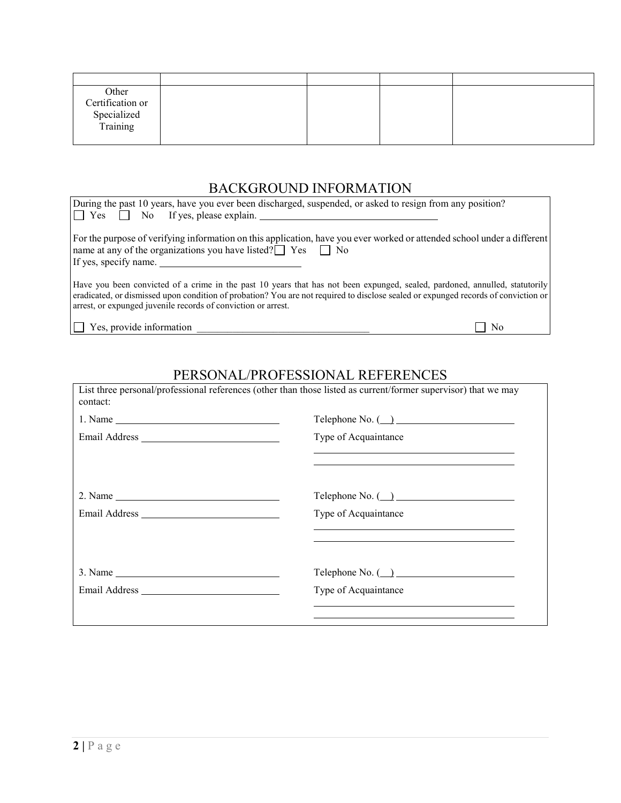| Other<br>Certification or<br>Specialized<br>Training |  |  |
|------------------------------------------------------|--|--|

### BACKGROUND INFORMATION

| During the past 10 years, have you ever been discharged, suspended, or asked to resign from any position?                                                                                                                                                                                                                          |  |
|------------------------------------------------------------------------------------------------------------------------------------------------------------------------------------------------------------------------------------------------------------------------------------------------------------------------------------|--|
| $\vert \vert$ No If yes, please explain.<br>$\mathsf{l}$   Yes                                                                                                                                                                                                                                                                     |  |
| For the purpose of verifying information on this application, have you ever worked or attended school under a different<br>name at any of the organizations you have listed? $\Box$ Yes $\Box$ No                                                                                                                                  |  |
| If yes, specify name.                                                                                                                                                                                                                                                                                                              |  |
| Have you been convicted of a crime in the past 10 years that has not been expunged, sealed, pardoned, annulled, statutorily<br>eradicated, or dismissed upon condition of probation? You are not required to disclose sealed or expunged records of conviction or<br>arrest, or expunged juvenile records of conviction or arrest. |  |
| Yes, provide information<br>No                                                                                                                                                                                                                                                                                                     |  |

## PERSONAL/PROFESSIONAL REFERENCES

| $1. Name \_$  |                                                                                     |
|---------------|-------------------------------------------------------------------------------------|
| Email Address | Type of Acquaintance<br><u> 1989 - Johann Stoff, amerikansk politiker (* 1908)</u>  |
|               |                                                                                     |
|               | Type of Acquaintance<br><u> 1989 - Johann Stoff, amerikansk politiker (d. 1989)</u> |
|               |                                                                                     |
| $3. Name \_$  |                                                                                     |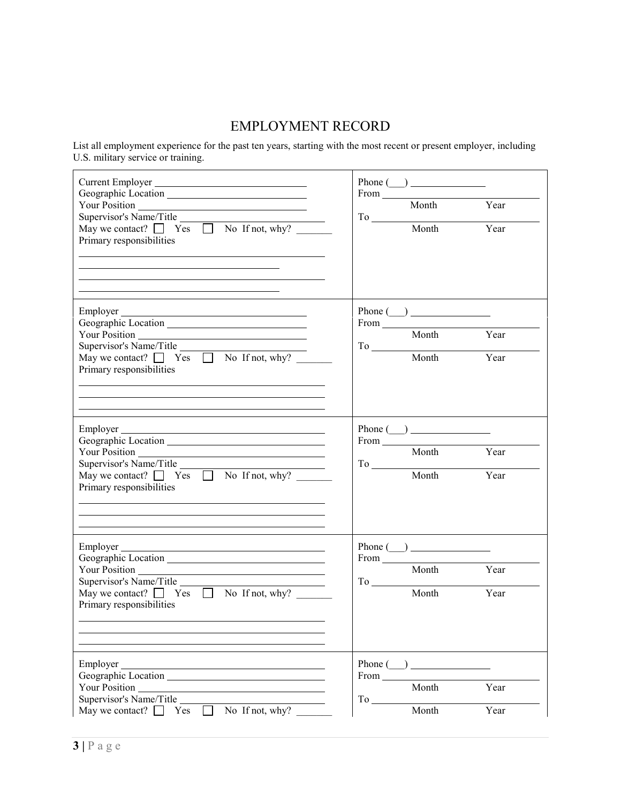#### EMPLOYMENT RECORD

List all employment experience for the past ten years, starting with the most recent or present employer, including U.S. military service or training.

| Current Employer<br>Geographic Location<br>Your Position<br>Supervisor's Name/Title<br>May we contact? $\Box$ Yes $\Box$ No If not, why?<br>Primary responsibilities                                                              | Phone $(\_)$<br>Month Year<br>$\begin{tabular}{c} To & \multicolumn{2}{c }{\textbf{Top} & \multicolumn{2}{c}{\textbf{Top} & \multicolumn{2}{c}{\textbf{Top} & \multicolumn{2}{c}{\textbf{Top} & \multicolumn{2}{c}{\textbf{Top} & \multicolumn{2}{c}{\textbf{Top} & \multicolumn{2}{c}{\textbf{Top} & \multicolumn{2}{c}{\textbf{Top} & \multicolumn{2}{c}{\textbf{Top} & \multicolumn{2}{c}{\textbf{Top} & \multicolumn{2}{c}{\textbf{Top} & \multicolumn{2}{c}{\textbf{Top} & \multicolumn{2}{c}{\textbf{Top} & \$ |
|-----------------------------------------------------------------------------------------------------------------------------------------------------------------------------------------------------------------------------------|----------------------------------------------------------------------------------------------------------------------------------------------------------------------------------------------------------------------------------------------------------------------------------------------------------------------------------------------------------------------------------------------------------------------------------------------------------------------------------------------------------------------|
| <u> 1989 - Johann Stoff, amerikansk politiker (* 1908)</u><br>Geographic Location<br>May we contact? $\Box$ Yes $\Box$ No If not, why?<br>Primary responsibilities<br><u> 1989 - Johann Stoff, amerikansk politiker (d. 1989)</u> | Phone $\qquad \qquad$<br>From Month Year<br>To Month Year<br>Month Year                                                                                                                                                                                                                                                                                                                                                                                                                                              |
| Employer<br>Supervisor's Name/Title ______<br>May we contact? $\Box$ Yes $\Box$ No If not, why?<br>Primary responsibilities                                                                                                       | Phone $(\_)$<br>From<br>Month Year<br>To Month Year                                                                                                                                                                                                                                                                                                                                                                                                                                                                  |
| Employer<br>Your Position<br>Supervisor's Name/Title<br>May we contact?<br>Tes  No If not, why?<br>Primary responsibilities                                                                                                       | Phone $\qquad \qquad$<br>From Month Year<br>$\begin{tabular}{c} To & \textbf{Month} & \textbf{Year} \\ \hline \end{tabular}$                                                                                                                                                                                                                                                                                                                                                                                         |
| Employer<br>Supervisor's Name/Title<br>May we contact? $\Box$<br>No If not, why?<br>Yes                                                                                                                                           | Phone $($ )<br>From ______<br>Month<br>Year<br>To<br>Month<br>Year                                                                                                                                                                                                                                                                                                                                                                                                                                                   |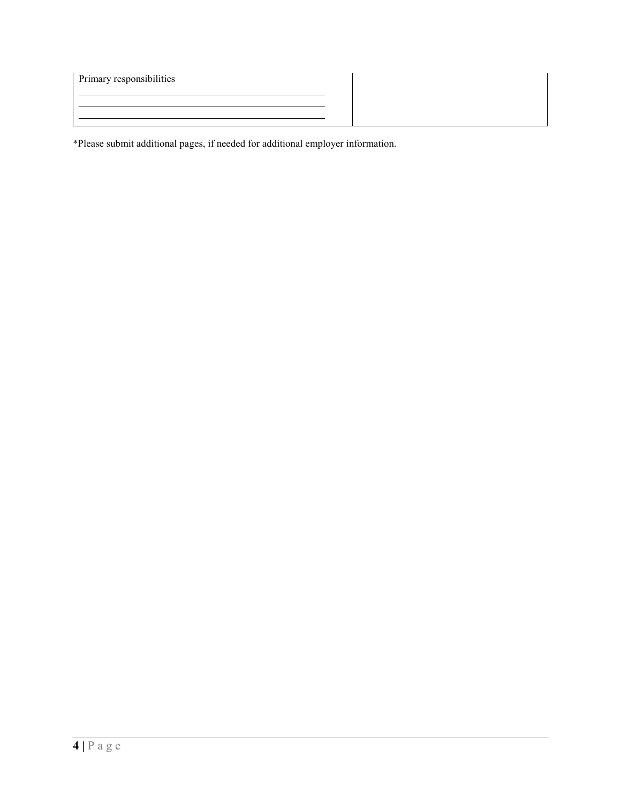| Primary responsibilities |  |
|--------------------------|--|
|                          |  |
|                          |  |
|                          |  |

\*Please submit additional pages, if needed for additional employer information.